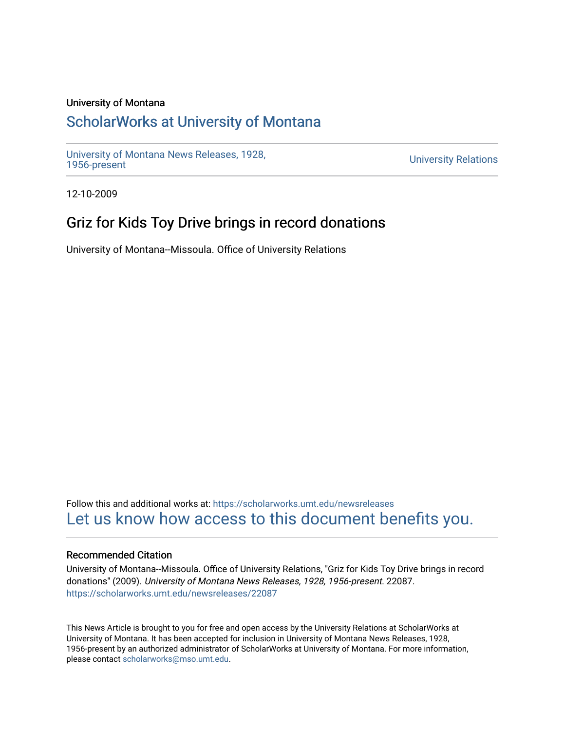#### University of Montana

# [ScholarWorks at University of Montana](https://scholarworks.umt.edu/)

[University of Montana News Releases, 1928,](https://scholarworks.umt.edu/newsreleases) 

**University Relations** 

12-10-2009

# Griz for Kids Toy Drive brings in record donations

University of Montana--Missoula. Office of University Relations

Follow this and additional works at: [https://scholarworks.umt.edu/newsreleases](https://scholarworks.umt.edu/newsreleases?utm_source=scholarworks.umt.edu%2Fnewsreleases%2F22087&utm_medium=PDF&utm_campaign=PDFCoverPages) [Let us know how access to this document benefits you.](https://goo.gl/forms/s2rGfXOLzz71qgsB2) 

#### Recommended Citation

University of Montana--Missoula. Office of University Relations, "Griz for Kids Toy Drive brings in record donations" (2009). University of Montana News Releases, 1928, 1956-present. 22087. [https://scholarworks.umt.edu/newsreleases/22087](https://scholarworks.umt.edu/newsreleases/22087?utm_source=scholarworks.umt.edu%2Fnewsreleases%2F22087&utm_medium=PDF&utm_campaign=PDFCoverPages) 

This News Article is brought to you for free and open access by the University Relations at ScholarWorks at University of Montana. It has been accepted for inclusion in University of Montana News Releases, 1928, 1956-present by an authorized administrator of ScholarWorks at University of Montana. For more information, please contact [scholarworks@mso.umt.edu.](mailto:scholarworks@mso.umt.edu)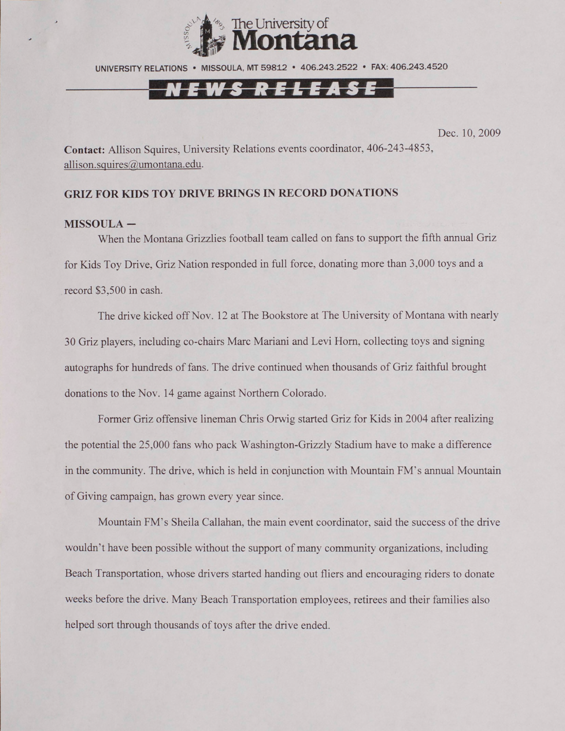

UNIVERSITY RELATIONS • MISSOULA. MT 59812 • 406.243.2522 • FAX: 406.243.4520

### *S RELEAS*

Dec. 10, 2009

**Contact:** Allison Squires, University Relations events coordinator, 406-243-4853, [allison.squires@umontana.edu](mailto:allison.squires@umontana.edu).

### **GRIZ FOR KIDS TOY DRIVE BRINGS IN RECORD DONATIONS**

#### **MISSOULA -**

When the Montana Grizzlies football team called on fans to support the fifth annual Griz for Kids Toy Drive. Griz Nation responded in full force, donating more than 3,000 toys and a record \$3,500 in cash.

The drive kicked off Nov. 12 at The Bookstore at The University of Montana with nearly 30 Griz players, including co-chairs Marc Mariani and Levi Horn, collecting toys and signing autographs for hundreds of fans. The drive continued when thousands of Griz faithful brought donations to the Nov. 14 game against Northern Colorado.

Former Griz offensive lineman Chris Orwig started Griz for Kids in 2004 after realizing the potential the 25,000 fans who pack Washington-Grizzly Stadium have to make a difference in the community. The drive, which is held in conjunction with Mountain FM's annual Mountain of Giving campaign, has grown every year since.

Mountain FM's Sheila Callahan, the main event coordinator, said the success of the drive wouldn't have been possible without the support of many community organizations, including Beach Transportation, whose drivers started handing out fliers and encouraging riders to donate weeks before the drive. Many Beach Transportation employees, retirees and their families also helped sort through thousands of toys after the drive ended.